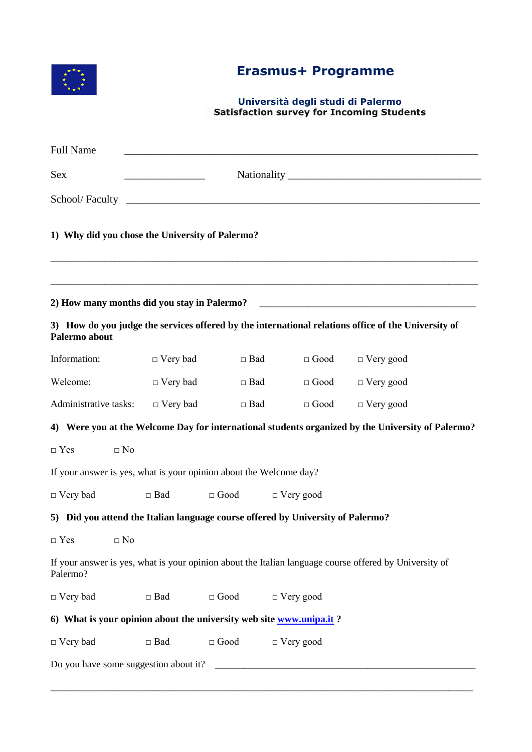

## **Erasmus+ Programme**

## **Università degli studi di Palermo Satisfaction survey for Incoming Students**

| <b>Full Name</b>                                                                |           |                           |                       |                  |                  |             |                                                                                                        |  |  |  |
|---------------------------------------------------------------------------------|-----------|---------------------------|-----------------------|------------------|------------------|-------------|--------------------------------------------------------------------------------------------------------|--|--|--|
| <b>Sex</b>                                                                      |           |                           |                       |                  |                  |             |                                                                                                        |  |  |  |
|                                                                                 |           |                           |                       |                  |                  |             |                                                                                                        |  |  |  |
| 1) Why did you chose the University of Palermo?                                 |           |                           |                       |                  |                  |             |                                                                                                        |  |  |  |
|                                                                                 |           |                           |                       |                  |                  |             |                                                                                                        |  |  |  |
| Palermo about                                                                   |           |                           |                       |                  |                  |             | 3) How do you judge the services offered by the international relations office of the University of    |  |  |  |
| Information:                                                                    |           | $\Box$ Very bad           |                       | $\Box$ Bad       |                  | $\Box$ Good | $\Box$ Very good                                                                                       |  |  |  |
| Welcome:                                                                        |           | $\Box$ Very bad           |                       | $\Box$ Bad       |                  | $\Box$ Good | $\Box$ Very good                                                                                       |  |  |  |
| Administrative tasks: $\Box$ Very bad                                           |           |                           | $\Box$ Bad            |                  |                  | $\Box$ Good | $\Box$ Very good                                                                                       |  |  |  |
|                                                                                 |           |                           |                       |                  |                  |             | 4) Were you at the Welcome Day for international students organized by the University of Palermo?      |  |  |  |
| $\Box$ Yes                                                                      | $\Box$ No |                           |                       |                  |                  |             |                                                                                                        |  |  |  |
| If your answer is yes, what is your opinion about the Welcome day?              |           |                           |                       |                  |                  |             |                                                                                                        |  |  |  |
| $\Box$ Very bad                                                                 |           | $\Box$ Bad<br>$\Box$ Good |                       | $\Box$ Very good |                  |             |                                                                                                        |  |  |  |
| 5) Did you attend the Italian language course offered by University of Palermo? |           |                           |                       |                  |                  |             |                                                                                                        |  |  |  |
| $\Box$ Yes                                                                      | $\Box$ No |                           |                       |                  |                  |             |                                                                                                        |  |  |  |
| Palermo?                                                                        |           |                           |                       |                  |                  |             | If your answer is yes, what is your opinion about the Italian language course offered by University of |  |  |  |
| $\Box$ Very bad                                                                 |           | $\Box$ Bad                | $\Box$ Good           |                  | $\Box$ Very good |             |                                                                                                        |  |  |  |
| 6) What is your opinion about the university web site www.unipa.it?             |           |                           |                       |                  |                  |             |                                                                                                        |  |  |  |
| $\Box$ Very bad                                                                 |           | $\Box$ Bad                | $\hfill \Box$<br>Good |                  | $\Box$ Very good |             |                                                                                                        |  |  |  |
|                                                                                 |           |                           |                       |                  |                  |             |                                                                                                        |  |  |  |